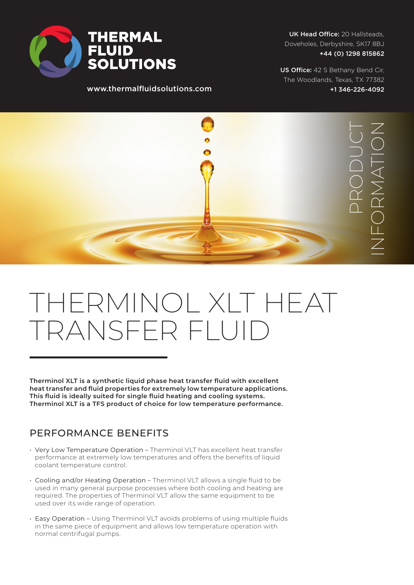

www.thermalfluidsolutions.com

UK Head Office: 20 Hallsteads, Doveholes, Derbyshire, SK17 8BJ +44 (0) 1298 815862

US Office: 42 S Bethany Bend Cir, The Woodlands, Texas, TX 77382 +1 346-226-4092



## THERMINOL XLT HEAT TRANSFER FLUID

**Therminol XLT is a synthetic liquid phase heat transfer fluid with excellent heat transfer and fluid properties for extremely low temperature applications. This fluid is ideally suited for single fluid heating and cooling systems. Therminol XLT is a TFS product of choice for low temperature performance.**

## PERFORMANCE BENEFITS

- Very Low Temperature Operation Therminol VLT has excellent heat transfer performance at extremely low temperatures and offers the benefits of liquid coolant temperature control.
- Cooling and/or Heating Operation Therminol VLT allows a single fluid to be used in many general purpose processes where both cooling and heating are required. The properties of Therminol VLT allow the same equipment to be used over its wide range of operation.
- Easy Operation Using Therminol VLT avoids problems of using multiple fluids in the same piece of equipment and allows low temperature operation with normal centrifugal pumps.